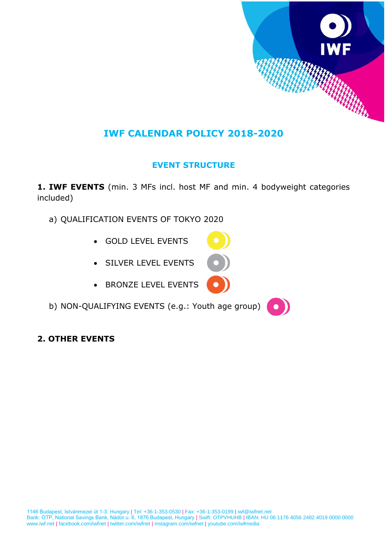

## **IWF CALENDAR POLICY 2018-2020**

## **EVENT STRUCTURE**

**1. IWF EVENTS** (min. 3 MFs incl. host MF and min. 4 bodyweight categories included)

- a) QUALIFICATION EVENTS OF TOKYO 2020
	- GOLD LEVEL EVENTS
	- SILVER LEVEL EVENTS
	- BRONZE LEVEL EVENTS
- b) NON-QUALIFYING EVENTS (e.g.: Youth age group)
- **2. OTHER EVENTS**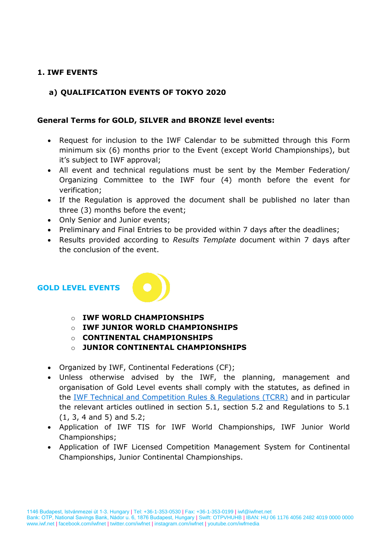#### **1. IWF EVENTS**

#### **a) QUALIFICATION EVENTS OF TOKYO 2020**

#### **General Terms for GOLD, SILVER and BRONZE level events:**

- Request for inclusion to the IWF Calendar to be submitted through this Form minimum six (6) months prior to the Event (except World Championships), but it's subject to IWF approval;
- All event and technical regulations must be sent by the Member Federation/ Organizing Committee to the IWF four (4) month before the event for verification;
- If the Regulation is approved the document shall be published no later than three (3) months before the event;
- Only Senior and Junior events:
- Preliminary and Final Entries to be provided within 7 days after the deadlines;
- Results provided according to *Results Template* document within 7 days after the conclusion of the event.

#### **GOLD LEVEL EVENTS**



- o **IWF WORLD CHAMPIONSHIPS**
- o **IWF JUNIOR WORLD CHAMPIONSHIPS**
- o **CONTINENTAL CHAMPIONSHIPS**
- o **JUNIOR CONTINENTAL CHAMPIONSHIPS**
- Organized by IWF, Continental Federations (CF);
- Unless otherwise advised by the IWF, the planning, management and organisation of Gold Level events shall comply with the statutes, as defined in the [IWF Technical and Competition Rules & Regulations \(TCRR\)](http://www.iwf.net/wp-content/uploads/downloads/2018/01/IWF-TCRR_01012018.pdf) and in particular the relevant articles outlined in section 5.1, section 5.2 and Regulations to 5.1 (1, 3, 4 and 5) and 5.2;
- Application of IWF TIS for IWF World Championships, IWF Junior World Championships;
- Application of IWF Licensed Competition Management System for Continental Championships, Junior Continental Championships.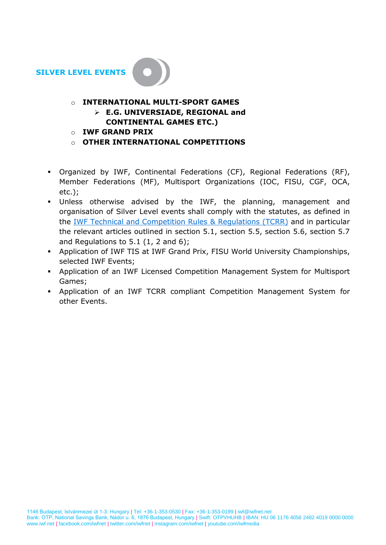

## o **INTERNATIONAL MULTI-SPORT GAMES E.G. UNIVERSIADE, REGIONAL and**

- **CONTINENTAL GAMES ETC.)**
- o **IWF GRAND PRIX**
- o **OTHER INTERNATIONAL COMPETITIONS**
- Organized by IWF, Continental Federations (CF), Regional Federations (RF), Member Federations (MF), Multisport Organizations (IOC, FISU, CGF, OCA, etc.);
- Unless otherwise advised by the IWF, the planning, management and organisation of Silver Level events shall comply with the statutes, as defined in the IWF Technical and [Competition Rules & Regulations \(TCRR\)](http://www.iwf.net/wp-content/uploads/downloads/2018/01/IWF-TCRR_01012018.pdf) and in particular the relevant articles outlined in section 5.1, section 5.5, section 5.6, section 5.7 and Regulations to  $5.1$  (1, 2 and 6);
- Application of IWF TIS at IWF Grand Prix, FISU World University Championships, selected IWF Events;
- Application of an IWF Licensed Competition Management System for Multisport Games;
- Application of an IWF TCRR compliant Competition Management System for other Events.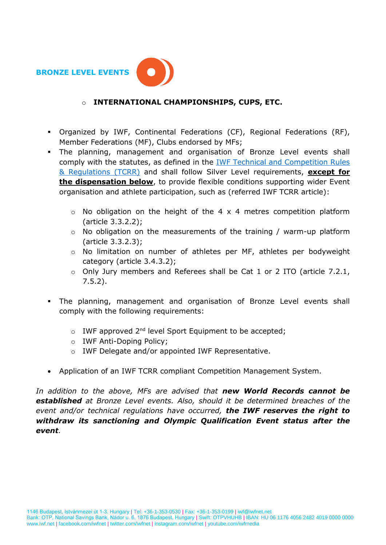

#### o **INTERNATIONAL CHAMPIONSHIPS, CUPS, ETC.**

- Organized by IWF, Continental Federations (CF), Regional Federations (RF), Member Federations (MF), Clubs endorsed by MFs;
- The planning, management and organisation of Bronze Level events shall comply with the statutes, as defined in the [IWF Technical and Competition Rules](http://www.iwf.net/wp-content/uploads/downloads/2018/01/IWF-TCRR_01012018.pdf)  [& Regulations \(TCRR\)](http://www.iwf.net/wp-content/uploads/downloads/2018/01/IWF-TCRR_01012018.pdf) and shall follow Silver Level requirements, **except for the dispensation below**, to provide flexible conditions supporting wider Event organisation and athlete participation, such as (referred IWF TCRR article):
	- $\circ$  No obligation on the height of the 4 x 4 metres competition platform (article 3.3.2.2);
	- $\circ$  No obligation on the measurements of the training / warm-up platform (article 3.3.2.3);
	- o No limitation on number of athletes per MF, athletes per bodyweight category (article 3.4.3.2);
	- o Only Jury members and Referees shall be Cat 1 or 2 ITO (article 7.2.1, 7.5.2).
- The planning, management and organisation of Bronze Level events shall comply with the following requirements:
	- $\circ$  IWF approved 2<sup>nd</sup> level Sport Equipment to be accepted;
	- o IWF Anti-Doping Policy;
	- o IWF Delegate and/or appointed IWF Representative.
- Application of an IWF TCRR compliant Competition Management System.

*In addition to the above, MFs are advised that new World Records cannot be established at Bronze Level events. Also, should it be determined breaches of the event and/or technical regulations have occurred, the IWF reserves the right to withdraw its sanctioning and Olympic Qualification Event status after the event.*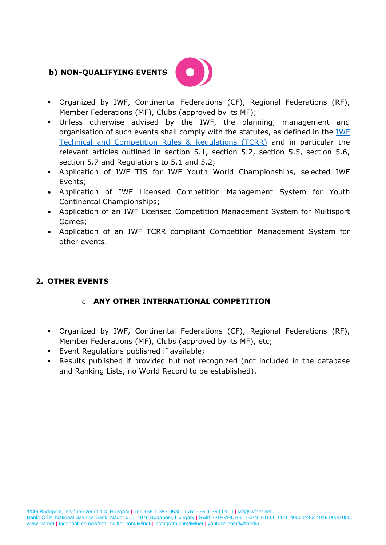### **b) NON-QUALIFYING EVENTS**



- Organized by IWF, Continental Federations (CF), Regional Federations (RF), Member Federations (MF), Clubs (approved by its MF);
- Unless otherwise advised by the IWF, the planning, management and organisation of such events shall comply with the statutes, as defined in the [IWF](http://www.iwf.net/wp-content/uploads/downloads/2018/01/IWF-TCRR_01012018.pdf)  [Technical and Competition Rules & Regulations \(TCRR\)](http://www.iwf.net/wp-content/uploads/downloads/2018/01/IWF-TCRR_01012018.pdf) and in particular the relevant articles outlined in section 5.1, section 5.2, section 5.5, section 5.6, section 5.7 and Regulations to 5.1 and 5.2;
- Application of IWF TIS for IWF Youth World Championships, selected IWF Events;
- Application of IWF Licensed Competition Management System for Youth Continental Championships;
- Application of an IWF Licensed Competition Management System for Multisport Games;
- Application of an IWF TCRR compliant Competition Management System for other events.

## **2. OTHER EVENTS**

#### o **ANY OTHER INTERNATIONAL COMPETITION**

- Organized by IWF, Continental Federations (CF), Regional Federations (RF), Member Federations (MF), Clubs (approved by its MF), etc;
- Event Regulations published if available;
- Results published if provided but not recognized (not included in the database and Ranking Lists, no World Record to be established).